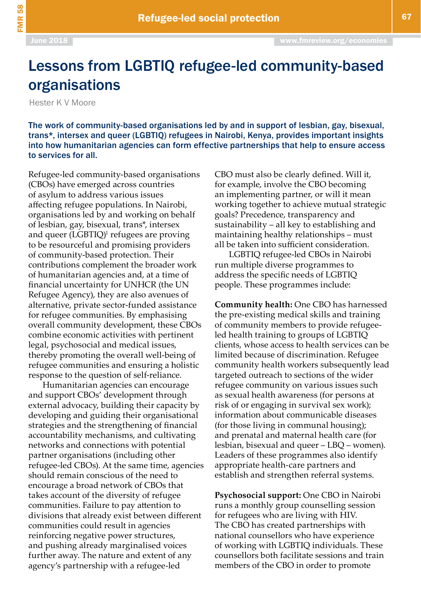FMR 58

## Lessons from LGBTIQ refugee-led community-based organisations

Hester K V Moore

The work of community-based organisations led by and in support of lesbian, gay, bisexual, trans\*, intersex and queer (LGBTIQ) refugees in Nairobi, Kenya, provides important insights into how humanitarian agencies can form effective partnerships that help to ensure access to services for all.

Refugee-led community-based organisations (CBOs) have emerged across countries of asylum to address various issues affecting refugee populations. In Nairobi, organisations led by and working on behalf of lesbian, gay, bisexual, trans\*, intersex and queer (LGBTIQ)<sup>1</sup> refugees are proving to be resourceful and promising providers of community-based protection. Their contributions complement the broader work of humanitarian agencies and, at a time of financial uncertainty for UNHCR (the UN Refugee Agency), they are also avenues of alternative, private sector-funded assistance for refugee communities. By emphasising overall community development, these CBOs combine economic activities with pertinent legal, psychosocial and medical issues, thereby promoting the overall well-being of refugee communities and ensuring a holistic response to the question of self-reliance.

Humanitarian agencies can encourage and support CBOs' development through external advocacy, building their capacity by developing and guiding their organisational strategies and the strengthening of financial accountability mechanisms, and cultivating networks and connections with potential partner organisations (including other refugee-led CBOs). At the same time, agencies should remain conscious of the need to encourage a broad network of CBOs that takes account of the diversity of refugee communities. Failure to pay attention to divisions that already exist between different communities could result in agencies reinforcing negative power structures, and pushing already marginalised voices further away. The nature and extent of any agency's partnership with a refugee-led

CBO must also be clearly defined. Will it, for example, involve the CBO becoming an implementing partner, or will it mean working together to achieve mutual strategic goals? Precedence, transparency and sustainability – all key to establishing and maintaining healthy relationships – must all be taken into sufficient consideration.

LGBTIQ refugee-led CBOs in Nairobi run multiple diverse programmes to address the specific needs of LGBTIQ people. These programmes include:

**Community health:** One CBO has harnessed the pre-existing medical skills and training of community members to provide refugeeled health training to groups of LGBTIQ clients, whose access to health services can be limited because of discrimination. Refugee community health workers subsequently lead targeted outreach to sections of the wider refugee community on various issues such as sexual health awareness (for persons at risk of or engaging in survival sex work); information about communicable diseases (for those living in communal housing); and prenatal and maternal health care (for lesbian, bisexual and queer – LBQ – women). Leaders of these programmes also identify appropriate health-care partners and establish and strengthen referral systems.

**Psychosocial support:** One CBO in Nairobi runs a monthly group counselling session for refugees who are living with HIV. The CBO has created partnerships with national counsellors who have experience of working with LGBTIQ individuals. These counsellors both facilitate sessions and train members of the CBO in order to promote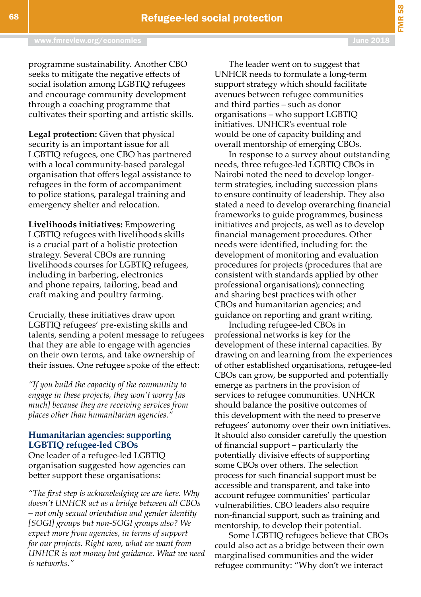programme sustainability. Another CBO seeks to mitigate the negative effects of social isolation among LGBTIQ refugees and encourage community development through a coaching programme that cultivates their sporting and artistic skills.

**Legal protection:** Given that physical security is an important issue for all LGBTIQ refugees, one CBO has partnered with a local community-based paralegal organisation that offers legal assistance to refugees in the form of accompaniment to police stations, paralegal training and emergency shelter and relocation.

**Livelihoods initiatives:** Empowering LGBTIQ refugees with livelihoods skills is a crucial part of a holistic protection strategy. Several CBOs are running livelihoods courses for LGBTIQ refugees, including in barbering, electronics and phone repairs, tailoring, bead and craft making and poultry farming.

Crucially, these initiatives draw upon LGBTIQ refugees' pre-existing skills and talents, sending a potent message to refugees that they are able to engage with agencies on their own terms, and take ownership of their issues. One refugee spoke of the effect:

*"If you build the capacity of the community to engage in these projects, they won't worry [as much] because they are receiving services from places other than humanitarian agencies."*

## **Humanitarian agencies: supporting LGBTIQ refugee-led CBOs**

One leader of a refugee-led LGBTIQ organisation suggested how agencies can better support these organisations:

*"The first step is acknowledging we are here. Why doesn't UNHCR act as a bridge between all CBOs – not only sexual orientation and gender identity [SOGI] groups but non-SOGI groups also? We expect more from agencies, in terms of support for our projects. Right now, what we want from UNHCR is not money but guidance. What we need is networks."*

The leader went on to suggest that UNHCR needs to formulate a long-term support strategy which should facilitate avenues between refugee communities and third parties – such as donor organisations – who support LGBTIQ initiatives. UNHCR's eventual role would be one of capacity building and overall mentorship of emerging CBOs.

In response to a survey about outstanding needs, three refugee-led LGBTIQ CBOs in Nairobi noted the need to develop longerterm strategies, including succession plans to ensure continuity of leadership. They also stated a need to develop overarching financial frameworks to guide programmes, business initiatives and projects, as well as to develop financial management procedures. Other needs were identified, including for: the development of monitoring and evaluation procedures for projects (procedures that are consistent with standards applied by other professional organisations); connecting and sharing best practices with other CBOs and humanitarian agencies; and guidance on reporting and grant writing.

Including refugee-led CBOs in professional networks is key for the development of these internal capacities. By drawing on and learning from the experiences of other established organisations, refugee-led CBOs can grow, be supported and potentially emerge as partners in the provision of services to refugee communities. UNHCR should balance the positive outcomes of this development with the need to preserve refugees' autonomy over their own initiatives. It should also consider carefully the question of financial support – particularly the potentially divisive effects of supporting some CBOs over others. The selection process for such financial support must be accessible and transparent, and take into account refugee communities' particular vulnerabilities. CBO leaders also require non-financial support, such as training and mentorship, to develop their potential.

Some LGBTIQ refugees believe that CBOs could also act as a bridge between their own marginalised communities and the wider refugee community: "Why don't we interact

FMR 58